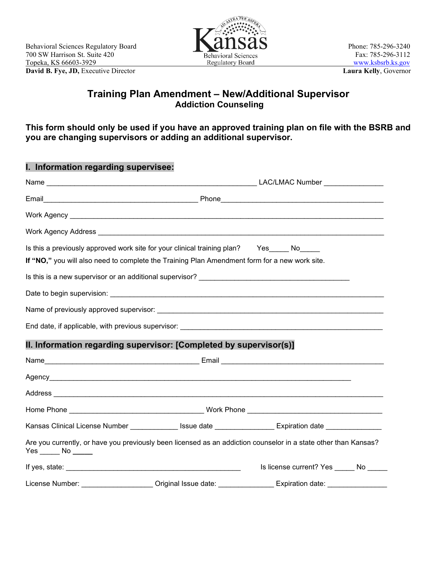

## **Training Plan Amendment – New/Additional Supervisor Addiction Counseling**

**This form should only be used if you have an approved training plan on file with the BSRB and you are changing supervisors or adding an additional supervisor.**

| I. Information regarding supervisee:                                                                                                                                             |  |                                                                                                                 |  |  |  |  |
|----------------------------------------------------------------------------------------------------------------------------------------------------------------------------------|--|-----------------------------------------------------------------------------------------------------------------|--|--|--|--|
|                                                                                                                                                                                  |  |                                                                                                                 |  |  |  |  |
|                                                                                                                                                                                  |  |                                                                                                                 |  |  |  |  |
|                                                                                                                                                                                  |  |                                                                                                                 |  |  |  |  |
|                                                                                                                                                                                  |  |                                                                                                                 |  |  |  |  |
| Is this a previously approved work site for your clinical training plan? Yes No<br>If "NO," you will also need to complete the Training Plan Amendment form for a new work site. |  |                                                                                                                 |  |  |  |  |
|                                                                                                                                                                                  |  |                                                                                                                 |  |  |  |  |
|                                                                                                                                                                                  |  |                                                                                                                 |  |  |  |  |
|                                                                                                                                                                                  |  |                                                                                                                 |  |  |  |  |
|                                                                                                                                                                                  |  |                                                                                                                 |  |  |  |  |
| II. Information regarding supervisor: [Completed by supervisor(s)]                                                                                                               |  |                                                                                                                 |  |  |  |  |
|                                                                                                                                                                                  |  |                                                                                                                 |  |  |  |  |
|                                                                                                                                                                                  |  |                                                                                                                 |  |  |  |  |
|                                                                                                                                                                                  |  |                                                                                                                 |  |  |  |  |
|                                                                                                                                                                                  |  |                                                                                                                 |  |  |  |  |
|                                                                                                                                                                                  |  | Kansas Clinical License Number _____________ Issue date ________________ Expiration date _______________        |  |  |  |  |
| $Yes$ No $\rule{1em}{0.15mm}$ No $\rule{1em}{0.15mm}$                                                                                                                            |  | Are you currently, or have you previously been licensed as an addiction counselor in a state other than Kansas? |  |  |  |  |
|                                                                                                                                                                                  |  | Is license current? Yes No                                                                                      |  |  |  |  |
|                                                                                                                                                                                  |  | License Number: _____________________ Original Issue date: ________________ Expiration date: ________________   |  |  |  |  |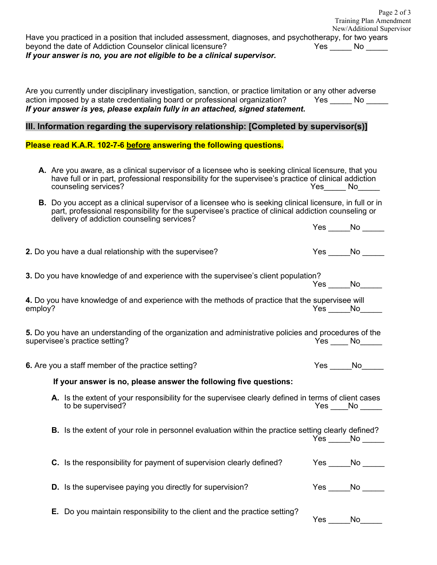| Have you practiced in a position that included assessment, diagnoses, and psychotherapy, for two years<br>beyond the date of Addiction Counselor clinical licensure?<br>If your answer is no, you are not eligible to be a clinical supervisor.                                              |        | Page 2 of 3<br>Training Plan Amendment<br>New/Additional Supervisor<br>$Yes$ No $\_\_$ |
|----------------------------------------------------------------------------------------------------------------------------------------------------------------------------------------------------------------------------------------------------------------------------------------------|--------|----------------------------------------------------------------------------------------|
| Are you currently under disciplinary investigation, sanction, or practice limitation or any other adverse<br>action imposed by a state credentialing board or professional organization? Yes _____ No _____<br>If your answer is yes, please explain fully in an attached, signed statement. |        |                                                                                        |
| III. Information regarding the supervisory relationship: [Completed by supervisor(s)]                                                                                                                                                                                                        |        |                                                                                        |
| Please read K.A.R. 102-7-6 before answering the following questions.                                                                                                                                                                                                                         |        |                                                                                        |
| A. Are you aware, as a clinical supervisor of a licensee who is seeking clinical licensure, that you<br>have full or in part, professional responsibility for the supervisee's practice of clinical addiction<br>counseling services?                                                        | Yes No |                                                                                        |
| <b>B.</b> Do you accept as a clinical supervisor of a licensee who is seeking clinical licensure, in full or in<br>part, professional responsibility for the supervisee's practice of clinical addiction counseling or<br>delivery of addiction counseling services?                         |        | $Yes \_\_No \_\_$                                                                      |
|                                                                                                                                                                                                                                                                                              |        |                                                                                        |
| 2. Do you have a dual relationship with the supervisee?                                                                                                                                                                                                                                      |        | $Yes \_\_No \_\_$                                                                      |
| 3. Do you have knowledge of and experience with the supervisee's client population?                                                                                                                                                                                                          |        | Yes No                                                                                 |
| 4. Do you have knowledge of and experience with the methods of practice that the supervisee will<br>employ?                                                                                                                                                                                  |        | Yes No                                                                                 |
| 5. Do you have an understanding of the organization and administrative policies and procedures of the<br>supervisee's practice setting?                                                                                                                                                      |        | $Yes \_\_No \_\_$                                                                      |
| 6. Are you a staff member of the practice setting?                                                                                                                                                                                                                                           |        | $Yes \qquad No \qquad$                                                                 |
| If your answer is no, please answer the following five questions:                                                                                                                                                                                                                            |        |                                                                                        |
| A. Is the extent of your responsibility for the supervisee clearly defined in terms of client cases<br>to be supervised?                                                                                                                                                                     |        | Yes No                                                                                 |
| <b>B.</b> Is the extent of your role in personnel evaluation within the practice setting clearly defined?                                                                                                                                                                                    |        | Yes No                                                                                 |
| C. Is the responsibility for payment of supervision clearly defined?                                                                                                                                                                                                                         |        | Yes No                                                                                 |
| <b>D.</b> Is the supervisee paying you directly for supervision?                                                                                                                                                                                                                             |        | $Yes$ No $\_\_\_\_\_\$                                                                 |
| <b>E.</b> Do you maintain responsibility to the client and the practice setting?                                                                                                                                                                                                             | Yes    | No                                                                                     |